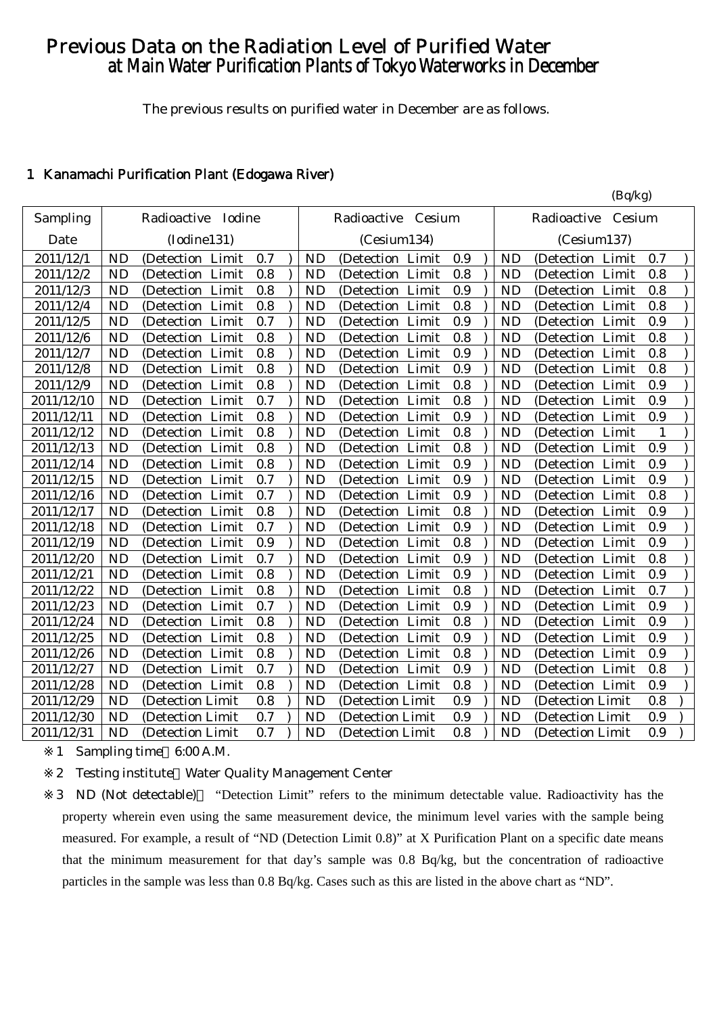# Previous Data on the Radiation Level of Purified Water at Main Water Purification Plants of Tokyo Waterworks in December

The previous results on purified water in December are as follows.

#### 1 Kanamachi Purification Plant (Edogawa River)

|            | (Bq/kg)                           |     |           |                      |     |           |                       |     |
|------------|-----------------------------------|-----|-----------|----------------------|-----|-----------|-----------------------|-----|
| Sampling   | Radioactive Iodine                |     |           | Radioactive Cesium   |     |           | Cesium<br>Radioactive |     |
| Date       | (Iodine131)                       |     |           | (Cesium134)          |     |           | (Cesium137)           |     |
| 2011/12/1  | <b>ND</b><br>(Detection Limit     | 0.7 | <b>ND</b> | (Detection Limit     | 0.9 | <b>ND</b> | (Detection Limit      | 0.7 |
| 2011/12/2  | Limit<br><b>ND</b><br>(Detection  | 0.8 | <b>ND</b> | (Detection Limit     | 0.8 | <b>ND</b> | (Detection Limit      | 0.8 |
| 2011/12/3  | <b>ND</b><br>(Detection Limit     | 0.8 | <b>ND</b> | (Detection Limit     | 0.9 | <b>ND</b> | (Detection Limit      | 0.8 |
| 2011/12/4  | <b>ND</b><br>(Detection Limit     | 0.8 | <b>ND</b> | (Detection Limit     | 0.8 | <b>ND</b> | (Detection Limit      | 0.8 |
| 2011/12/5  | (Detection Limit<br><b>ND</b>     | 0.7 | <b>ND</b> | (Detection Limit     | 0.9 | <b>ND</b> | (Detection Limit      | 0.9 |
| 2011/12/6  | (Detection Limit<br><b>ND</b>     | 0.8 | <b>ND</b> | (Detection Limit     | 0.8 | <b>ND</b> | (Detection Limit      | 0.8 |
| 2011/12/7  | <b>ND</b><br>(Detection Limit     | 0.8 | <b>ND</b> | (Detection Limit     | 0.9 | <b>ND</b> | (Detection Limit      | 0.8 |
| 2011/12/8  | <b>ND</b><br>(Detection<br>Limit  | 0.8 | <b>ND</b> | (Detection Limit     | 0.9 | <b>ND</b> | (Detection Limit      | 0.8 |
| 2011/12/9  | <b>ND</b><br>Limit<br>(Detection  | 0.8 | <b>ND</b> | Limit<br>(Detection  | 0.8 | <b>ND</b> | (Detection Limit      | 0.9 |
| 2011/12/10 | <b>ND</b><br>Limit<br>(Detection  | 0.7 | <b>ND</b> | (Detection Limit     | 0.8 | <b>ND</b> | (Detection Limit      | 0.9 |
| 2011/12/11 | <b>ND</b><br>(Detection Limit     | 0.8 | <b>ND</b> | (Detection Limit     | 0.9 | <b>ND</b> | (Detection Limit      | 0.9 |
| 2011/12/12 | (Detection Limit<br><b>ND</b>     | 0.8 | <b>ND</b> | (Detection Limit     | 0.8 | <b>ND</b> | (Detection Limit      | 1   |
| 2011/12/13 | (Detection Limit<br><b>ND</b>     | 0.8 | <b>ND</b> | (Detection Limit     | 0.8 | <b>ND</b> | (Detection Limit      | 0.9 |
| 2011/12/14 | <b>ND</b><br>(Detection Limit     | 0.8 | <b>ND</b> | (Detection Limit     | 0.9 | <b>ND</b> | (Detection Limit      | 0.9 |
| 2011/12/15 | <b>ND</b><br>(Detection Limit     | 0.7 | <b>ND</b> | (Detection Limit     | 0.9 | <b>ND</b> | (Detection Limit      | 0.9 |
| 2011/12/16 | <b>ND</b><br>Limit<br>(Detection) | 0.7 | <b>ND</b> | (Detection Limit     | 0.9 | <b>ND</b> | (Detection Limit      | 0.8 |
| 2011/12/17 | <b>ND</b><br>(Detection Limit     | 0.8 | <b>ND</b> | (Detection Limit     | 0.8 | <b>ND</b> | (Detection Limit      | 0.9 |
| 2011/12/18 | <b>ND</b><br>(Detection Limit     | 0.7 | <b>ND</b> | (Detection Limit     | 0.9 | <b>ND</b> | (Detection Limit      | 0.9 |
| 2011/12/19 | (Detection Limit<br><b>ND</b>     | 0.9 | <b>ND</b> | (Detection Limit     | 0.8 | <b>ND</b> | (Detection Limit      | 0.9 |
| 2011/12/20 | (Detection Limit<br><b>ND</b>     | 0.7 | <b>ND</b> | (Detection Limit     | 0.9 | <b>ND</b> | (Detection Limit      | 0.8 |
| 2011/12/21 | <b>ND</b><br>(Detection Limit     | 0.8 | <b>ND</b> | (Detection Limit     | 0.9 | <b>ND</b> | (Detection Limit      | 0.9 |
| 2011/12/22 | <b>ND</b><br>(Detection Limit     | 0.8 | <b>ND</b> | (Detection Limit     | 0.8 | <b>ND</b> | (Detection Limit      | 0.7 |
| 2011/12/23 | <b>ND</b><br>Limit<br>(Detection  | 0.7 | <b>ND</b> | Limit<br>(Detection  | 0.9 | <b>ND</b> | (Detection Limit      | 0.9 |
| 2011/12/24 | <b>ND</b><br>(Detection Limit     | 0.8 | <b>ND</b> | (Detection Limit     | 0.8 | <b>ND</b> | (Detection Limit      | 0.9 |
| 2011/12/25 | <b>ND</b><br>Limit<br>(Detection  | 0.8 | <b>ND</b> | (Detection Limit     | 0.9 | <b>ND</b> | (Detection Limit      | 0.9 |
| 2011/12/26 | Limit<br><b>ND</b><br>(Detection  | 0.8 | <b>ND</b> | (Detection Limit     | 0.8 | <b>ND</b> | (Detection Limit      | 0.9 |
| 2011/12/27 | Limit<br><b>ND</b><br>(Detection) | 0.7 | <b>ND</b> | Limit<br>(Detection) | 0.9 | <b>ND</b> | (Detection Limit      | 0.8 |
| 2011/12/28 | <b>ND</b><br>(Detection Limit     | 0.8 | <b>ND</b> | (Detection Limit     | 0.8 | <b>ND</b> | (Detection Limit      | 0.9 |
| 2011/12/29 | <b>ND</b><br>(Detection Limit     | 0.8 | <b>ND</b> | (Detection Limit     | 0.9 | <b>ND</b> | (Detection Limit      | 0.8 |
| 2011/12/30 | <b>ND</b><br>(Detection Limit     | 0.7 | <b>ND</b> | (Detection Limit     | 0.9 | <b>ND</b> | (Detection Limit      | 0.9 |
| 2011/12/31 | <b>ND</b><br>(Detection Limit)    | 0.7 | <b>ND</b> | (Detection Limit     | 0.8 | <b>ND</b> | (Detection Limit      | 0.9 |

1 Sampling time 6:00 A.M.

2 Testing institute Water Quality Management Center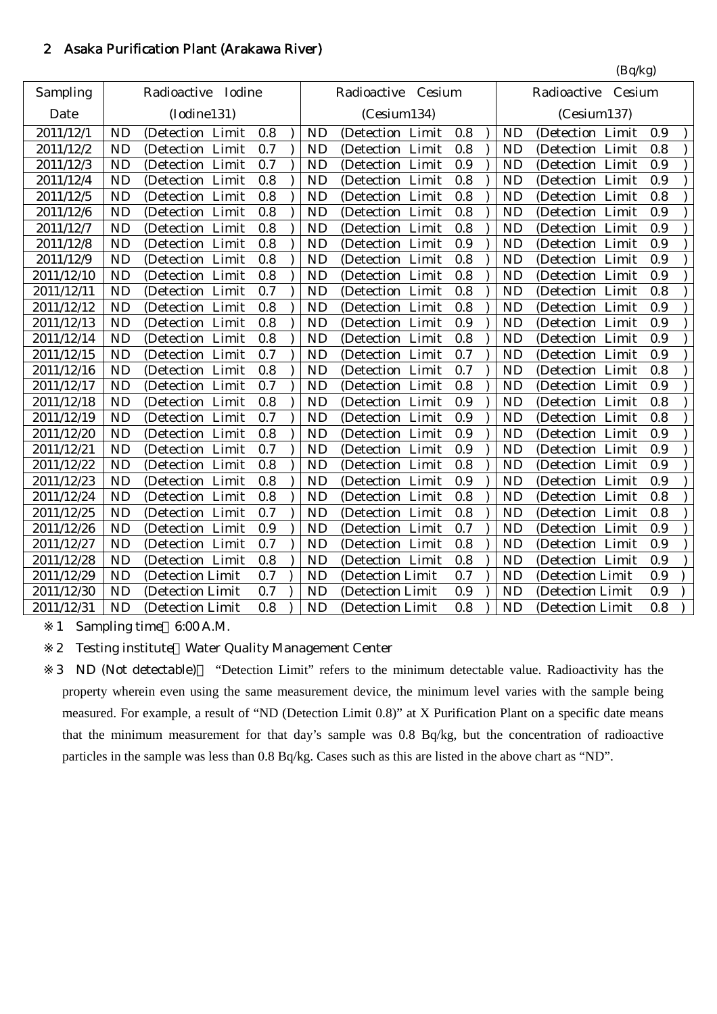## 2 Asaka Purification Plant (Arakawa River)

| Radioactive Iodine<br>Sampling<br>Radioactive Cesium<br>Radioactive<br>Cesium<br>(Iodine131)<br>Date<br>(Cesium134)<br>(Cesium137)<br>2011/12/1<br><b>ND</b><br>0.8<br><b>ND</b><br>0.8<br><b>ND</b><br>(Detection Limit<br>(Detection Limit<br>(Detection Limit<br>2011/12/2<br><b>ND</b><br>(Detection Limit<br>0.7<br>0.8<br><b>ND</b><br>(Detection Limit<br><b>ND</b><br>(Detection Limit<br><b>ND</b><br>0.9<br>2011/12/3<br>(Detection Limit<br>0.7<br><b>ND</b><br>(Detection Limit<br><b>ND</b><br>(Detection Limit |     |                  |           |  |     |  |     |                  |           |           |
|------------------------------------------------------------------------------------------------------------------------------------------------------------------------------------------------------------------------------------------------------------------------------------------------------------------------------------------------------------------------------------------------------------------------------------------------------------------------------------------------------------------------------|-----|------------------|-----------|--|-----|--|-----|------------------|-----------|-----------|
|                                                                                                                                                                                                                                                                                                                                                                                                                                                                                                                              |     |                  |           |  |     |  |     |                  |           |           |
|                                                                                                                                                                                                                                                                                                                                                                                                                                                                                                                              |     |                  |           |  |     |  |     |                  |           |           |
|                                                                                                                                                                                                                                                                                                                                                                                                                                                                                                                              | 0.9 |                  |           |  |     |  |     |                  |           |           |
|                                                                                                                                                                                                                                                                                                                                                                                                                                                                                                                              | 0.8 |                  |           |  |     |  |     |                  |           |           |
|                                                                                                                                                                                                                                                                                                                                                                                                                                                                                                                              | 0.9 |                  |           |  |     |  |     |                  |           |           |
| <b>ND</b><br>(Detection Limit                                                                                                                                                                                                                                                                                                                                                                                                                                                                                                | 0.9 | (Detection Limit | <b>ND</b> |  | 0.8 |  | 0.8 | (Detection Limit | <b>ND</b> | 2011/12/4 |
| <b>ND</b><br>2011/12/5<br>0.8<br><b>ND</b><br>0.8<br><b>ND</b><br>(Detection Limit<br>(Detection Limit<br>(Detection Limit                                                                                                                                                                                                                                                                                                                                                                                                   | 0.8 |                  |           |  |     |  |     |                  |           |           |
| <b>ND</b><br>(Detection Limit<br>0.8<br>0.8<br>2011/12/6<br><b>ND</b><br>(Detection Limit<br><b>ND</b><br>(Detection Limit                                                                                                                                                                                                                                                                                                                                                                                                   | 0.9 |                  |           |  |     |  |     |                  |           |           |
| 2011/12/7<br><b>ND</b><br>(Detection Limit<br>0.8<br><b>ND</b><br>(Detection Limit<br>0.8<br><b>ND</b><br>(Detection Limit                                                                                                                                                                                                                                                                                                                                                                                                   | 0.9 |                  |           |  |     |  |     |                  |           |           |
| <b>ND</b><br>2011/12/8<br>(Detection Limit<br>0.8<br><b>ND</b><br>(Detection Limit<br>0.9<br>(Detection Limit<br><b>ND</b>                                                                                                                                                                                                                                                                                                                                                                                                   | 0.9 |                  |           |  |     |  |     |                  |           |           |
| 2011/12/9<br>(Detection Limit<br>0.8<br>0.8<br><b>ND</b><br><b>ND</b><br>(Detection Limit<br><b>ND</b><br>Limit<br>(Detection                                                                                                                                                                                                                                                                                                                                                                                                | 0.9 |                  |           |  |     |  |     |                  |           |           |
| <b>ND</b><br>Limit<br>0.8<br><b>ND</b><br>0.8<br><b>ND</b><br>Limit<br>2011/12/10<br>(Detection<br>(Detection Limit<br>(Detection                                                                                                                                                                                                                                                                                                                                                                                            | 0.9 |                  |           |  |     |  |     |                  |           |           |
| 2011/12/11<br><b>ND</b><br>Limit<br>0.7<br><b>ND</b><br>0.8<br><b>ND</b><br>(Detection<br>(Detection Limit<br>(Detection Limit                                                                                                                                                                                                                                                                                                                                                                                               | 0.8 |                  |           |  |     |  |     |                  |           |           |
| <b>ND</b><br>2011/12/12<br>(Detection Limit<br>0.8<br><b>ND</b><br>0.8<br><b>ND</b><br>(Detection Limit<br>(Detection Limit                                                                                                                                                                                                                                                                                                                                                                                                  | 0.9 |                  |           |  |     |  |     |                  |           |           |
| 2011/12/13<br><b>ND</b><br>(Detection Limit<br>0.8<br><b>ND</b><br>0.9<br><b>ND</b><br>(Detection Limit<br>(Detection Limit                                                                                                                                                                                                                                                                                                                                                                                                  | 0.9 |                  |           |  |     |  |     |                  |           |           |
| 2011/12/14<br><b>ND</b><br>(Detection Limit<br>0.8<br>0.8<br>(Detection Limit<br><b>ND</b><br>(Detection Limit<br><b>ND</b>                                                                                                                                                                                                                                                                                                                                                                                                  | 0.9 |                  |           |  |     |  |     |                  |           |           |
| 2011/12/15<br><b>ND</b><br>(Detection Limit<br><b>ND</b><br>(Detection Limit<br>0.7<br>0.7<br><b>ND</b><br>(Detection Limit                                                                                                                                                                                                                                                                                                                                                                                                  | 0.9 |                  |           |  |     |  |     |                  |           |           |
| 2011/12/16<br><b>ND</b><br>(Detection Limit<br>0.8<br>0.7<br><b>ND</b><br>(Detection Limit<br><b>ND</b><br>(Detection Limit                                                                                                                                                                                                                                                                                                                                                                                                  | 0.8 |                  |           |  |     |  |     |                  |           |           |
| <b>ND</b><br>(Detection Limit<br>0.7<br>0.8<br>2011/12/17<br><b>ND</b><br>(Detection Limit<br><b>ND</b><br>(Detection Limit                                                                                                                                                                                                                                                                                                                                                                                                  | 0.9 |                  |           |  |     |  |     |                  |           |           |
| 2011/12/18<br><b>ND</b><br>0.8<br><b>ND</b><br>0.9<br>(Detection Limit<br>(Detection Limit<br><b>ND</b><br>(Detection Limit                                                                                                                                                                                                                                                                                                                                                                                                  | 0.8 |                  |           |  |     |  |     |                  |           |           |
| <b>ND</b><br>2011/12/19<br>0.7<br><b>ND</b><br>0.9<br><b>ND</b><br>(Detection Limit<br>(Detection Limit<br>(Detection Limit                                                                                                                                                                                                                                                                                                                                                                                                  | 0.8 |                  |           |  |     |  |     |                  |           |           |
| <b>ND</b><br>0.9<br>2011/12/20<br>(Detection Limit<br>0.8<br><b>ND</b><br>Limit<br><b>ND</b><br>(Detection<br>Limit<br>(Detection                                                                                                                                                                                                                                                                                                                                                                                            | 0.9 |                  |           |  |     |  |     |                  |           |           |
| 2011/12/21<br><b>ND</b><br>(Detection Limit<br>0.7<br><b>ND</b><br>0.9<br>(Detection Limit<br><b>ND</b><br>(Detection Limit                                                                                                                                                                                                                                                                                                                                                                                                  | 0.9 |                  |           |  |     |  |     |                  |           |           |
| 2011/12/22<br><b>ND</b><br>(Detection Limit<br>0.8<br><b>ND</b><br>0.8<br>(Detection Limit<br><b>ND</b><br>(Detection Limit                                                                                                                                                                                                                                                                                                                                                                                                  | 0.9 |                  |           |  |     |  |     |                  |           |           |
| 2011/12/23<br><b>ND</b><br>(Detection Limit<br>0.8<br><b>ND</b><br>(Detection Limit<br>0.9<br>(Detection Limit<br><b>ND</b>                                                                                                                                                                                                                                                                                                                                                                                                  | 0.9 |                  |           |  |     |  |     |                  |           |           |
| 2011/12/24<br>(Detection Limit<br>0.8<br>0.8<br><b>ND</b><br><b>ND</b><br>(Detection Limit<br><b>ND</b><br>(Detection Limit                                                                                                                                                                                                                                                                                                                                                                                                  | 0.8 |                  |           |  |     |  |     |                  |           |           |
| 2011/12/25<br><b>ND</b><br>(Detection Limit<br>0.7<br><b>ND</b><br>(Detection Limit<br>0.8<br><b>ND</b><br>(Detection Limit                                                                                                                                                                                                                                                                                                                                                                                                  | 0.8 |                  |           |  |     |  |     |                  |           |           |
| 2011/12/26<br><b>ND</b><br>(Detection Limit<br>0.9<br><b>ND</b><br>(Detection Limit<br>0.7<br><b>ND</b><br>(Detection Limit                                                                                                                                                                                                                                                                                                                                                                                                  | 0.9 |                  |           |  |     |  |     |                  |           |           |
| 2011/12/27<br><b>ND</b><br>0.7<br><b>ND</b><br>0.8<br><b>ND</b><br>(Detection Limit<br>(Detection Limit<br>(Detection Limit                                                                                                                                                                                                                                                                                                                                                                                                  | 0.9 |                  |           |  |     |  |     |                  |           |           |
| 0.8<br>2011/12/28<br><b>ND</b><br>(Detection Limit<br><b>ND</b><br>0.8<br><b>ND</b><br>(Detection Limit<br>(Detection Limit                                                                                                                                                                                                                                                                                                                                                                                                  | 0.9 |                  |           |  |     |  |     |                  |           |           |
| 2011/12/29<br>0.7<br>0.7<br><b>ND</b><br><b>ND</b><br>(Detection Limit<br>(Detection Limit<br><b>ND</b><br>(Detection Limit                                                                                                                                                                                                                                                                                                                                                                                                  | 0.9 |                  |           |  |     |  |     |                  |           |           |
| 2011/12/30<br><b>ND</b><br><b>ND</b><br>0.9<br>(Detection Limit<br>0.7<br>(Detection Limit<br><b>ND</b><br>(Detection Limit                                                                                                                                                                                                                                                                                                                                                                                                  | 0.9 |                  |           |  |     |  |     |                  |           |           |
| 2011/12/31<br><b>ND</b><br>0.8<br>0.8<br><b>ND</b><br><b>ND</b><br>(Detection Limit<br>(Detection Limit<br>(Detection Limit                                                                                                                                                                                                                                                                                                                                                                                                  | 0.8 |                  |           |  |     |  |     |                  |           |           |

1 Sampling time 6:00 A.M.

2 Testing institute Water Quality Management Center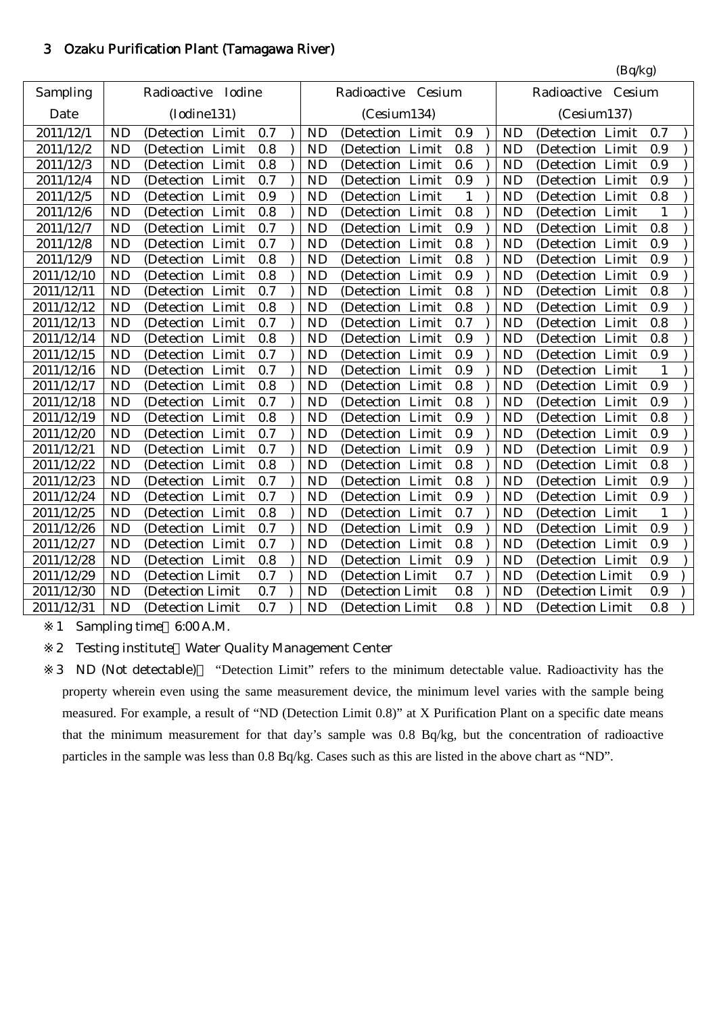## 3 Ozaku Purification Plant (Tamagawa River)

|            |           |                       |     |           |                      |     |           | (Bq/kg)               |     |
|------------|-----------|-----------------------|-----|-----------|----------------------|-----|-----------|-----------------------|-----|
| Sampling   |           | Iodine<br>Radioactive |     |           | Radioactive Cesium   |     |           | Radioactive<br>Cesium |     |
| Date       |           | (Iodine131)           |     |           | (Cesium134)          |     |           | (Cesium137)           |     |
| 2011/12/1  | <b>ND</b> | (Detection Limit      | 0.7 | <b>ND</b> | (Detection Limit     | 0.9 | <b>ND</b> | (Detection Limit      | 0.7 |
| 2011/12/2  | <b>ND</b> | Limit<br>(Detection)  | 0.8 | <b>ND</b> | Limit<br>(Detection  | 0.8 | <b>ND</b> | Limit<br>(Detection   | 0.9 |
| 2011/12/3  | <b>ND</b> | (Detection Limit      | 0.8 | <b>ND</b> | (Detection Limit     | 0.6 | <b>ND</b> | (Detection Limit      | 0.9 |
| 2011/12/4  | <b>ND</b> | (Detection Limit      | 0.7 | <b>ND</b> | (Detection Limit     | 0.9 | <b>ND</b> | (Detection Limit      | 0.9 |
| 2011/12/5  | <b>ND</b> | (Detection Limit      | 0.9 | <b>ND</b> | (Detection Limit     | 1   | <b>ND</b> | (Detection Limit      | 0.8 |
| 2011/12/6  | <b>ND</b> | (Detection Limit      | 0.8 | <b>ND</b> | Limit<br>(Detection) | 0.8 | <b>ND</b> | Limit<br>(Detection)  | 1   |
| 2011/12/7  | <b>ND</b> | (Detection Limit      | 0.7 | <b>ND</b> | (Detection Limit     | 0.9 | <b>ND</b> | (Detection Limit      | 0.8 |
| 2011/12/8  | <b>ND</b> | (Detection Limit      | 0.7 | <b>ND</b> | (Detection Limit     | 0.8 | <b>ND</b> | (Detection Limit      | 0.9 |
| 2011/12/9  | <b>ND</b> | (Detection Limit      | 0.8 | <b>ND</b> | (Detection Limit     | 0.8 | <b>ND</b> | (Detection Limit      | 0.9 |
| 2011/12/10 | <b>ND</b> | (Detection Limit      | 0.8 | <b>ND</b> | (Detection Limit     | 0.9 | <b>ND</b> | (Detection Limit      | 0.9 |
| 2011/12/11 | <b>ND</b> | (Detection Limit      | 0.7 | <b>ND</b> | (Detection Limit     | 0.8 | <b>ND</b> | (Detection Limit      | 0.8 |
| 2011/12/12 | <b>ND</b> | (Detection Limit      | 0.8 | <b>ND</b> | (Detection Limit     | 0.8 | <b>ND</b> | (Detection Limit      | 0.9 |
| 2011/12/13 | <b>ND</b> | (Detection Limit      | 0.7 | <b>ND</b> | (Detection Limit     | 0.7 | <b>ND</b> | (Detection Limit      | 0.8 |
| 2011/12/14 | <b>ND</b> | (Detection Limit      | 0.8 | <b>ND</b> | Limit<br>(Detection) | 0.9 | <b>ND</b> | (Detection Limit      | 0.8 |
| 2011/12/15 | <b>ND</b> | (Detection Limit      | 0.7 | <b>ND</b> | (Detection Limit     | 0.9 | <b>ND</b> | (Detection Limit      | 0.9 |
| 2011/12/16 | <b>ND</b> | (Detection Limit      | 0.7 | <b>ND</b> | (Detection Limit     | 0.9 | <b>ND</b> | (Detection Limit      | 1   |
| 2011/12/17 | <b>ND</b> | Limit<br>(Detection)  | 0.8 | <b>ND</b> | (Detection Limit     | 0.8 | <b>ND</b> | (Detection Limit      | 0.9 |
| 2011/12/18 | <b>ND</b> | Limit<br>(Detection   | 0.7 | <b>ND</b> | Limit<br>(Detection  | 0.8 | <b>ND</b> | Limit<br>(Detection   | 0.9 |
| 2011/12/19 | <b>ND</b> | (Detection Limit      | 0.8 | <b>ND</b> | (Detection Limit     | 0.9 | <b>ND</b> | (Detection Limit      | 0.8 |
| 2011/12/20 | <b>ND</b> | (Detection Limit      | 0.7 | <b>ND</b> | (Detection Limit     | 0.9 | <b>ND</b> | (Detection Limit      | 0.9 |
| 2011/12/21 | <b>ND</b> | (Detection Limit      | 0.7 | <b>ND</b> | (Detection Limit     | 0.9 | <b>ND</b> | (Detection Limit      | 0.9 |
| 2011/12/22 | <b>ND</b> | (Detection Limit      | 0.8 | <b>ND</b> | Limit<br>(Detection  | 0.8 | <b>ND</b> | Limit<br>(Detection   | 0.8 |
| 2011/12/23 | <b>ND</b> | (Detection Limit      | 0.7 | <b>ND</b> | Limit<br>(Detection  | 0.8 | <b>ND</b> | Limit<br>(Detection   | 0.9 |
| 2011/12/24 | <b>ND</b> | (Detection Limit      | 0.7 | <b>ND</b> | Limit<br>(Detection) | 0.9 | <b>ND</b> | (Detection Limit      | 0.9 |
| 2011/12/25 | <b>ND</b> | (Detection Limit      | 0.8 | <b>ND</b> | (Detection<br>Limit  | 0.7 | <b>ND</b> | (Detection Limit      | 1   |
| 2011/12/26 | <b>ND</b> | (Detection Limit      | 0.7 | <b>ND</b> | (Detection<br>Limit  | 0.9 | <b>ND</b> | (Detection Limit      | 0.9 |
| 2011/12/27 | <b>ND</b> | (Detection Limit      | 0.7 | <b>ND</b> | (Detection Limit     | 0.8 | <b>ND</b> | (Detection Limit      | 0.9 |
| 2011/12/28 | <b>ND</b> | (Detection Limit      | 0.8 | <b>ND</b> | (Detection Limit     | 0.9 | <b>ND</b> | (Detection Limit      | 0.9 |
| 2011/12/29 | <b>ND</b> | (Detection Limit      | 0.7 | <b>ND</b> | (Detection Limit     | 0.7 | <b>ND</b> | (Detection Limit      | 0.9 |
| 2011/12/30 | <b>ND</b> | (Detection Limit      | 0.7 | <b>ND</b> | (Detection Limit     | 0.8 | <b>ND</b> | (Detection Limit      | 0.9 |
| 2011/12/31 | <b>ND</b> | (Detection Limit      | 0.7 | <b>ND</b> | (Detection Limit     | 0.8 | <b>ND</b> | (Detection Limit      | 0.8 |

1 Sampling time 6:00 A.M.

2 Testing institute Water Quality Management Center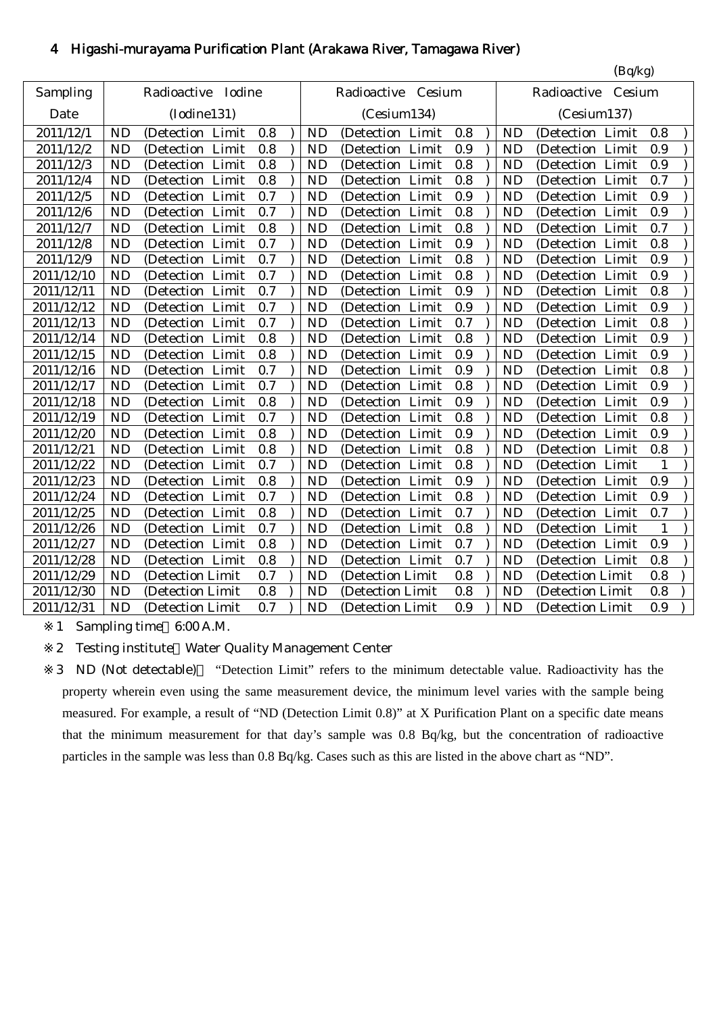# 4 Higashi-murayama Purification Plant (Arakawa River, Tamagawa River)

|            |           |                     |     |           |                      |     |           | (Bq/kg)               |              |
|------------|-----------|---------------------|-----|-----------|----------------------|-----|-----------|-----------------------|--------------|
| Sampling   |           | Radioactive Iodine  |     |           | Radioactive Cesium   |     |           | Radioactive<br>Cesium |              |
| Date       |           | (Iodine131)         |     |           | (Cesium134)          |     |           | (Cesium137)           |              |
| 2011/12/1  | <b>ND</b> | (Detection Limit    | 0.8 | <b>ND</b> | (Detection Limit     | 0.8 | <b>ND</b> | (Detection Limit      | 0.8          |
| 2011/12/2  | <b>ND</b> | (Detection Limit    | 0.8 | <b>ND</b> | (Detection<br>Limit  | 0.9 | <b>ND</b> | Limit<br>(Detection)  | 0.9          |
| 2011/12/3  | <b>ND</b> | (Detection Limit    | 0.8 | <b>ND</b> | Limit<br>(Detection) | 0.8 | <b>ND</b> | Limit<br>(Detection   | 0.9          |
| 2011/12/4  | <b>ND</b> | (Detection Limit    | 0.8 | <b>ND</b> | (Detection Limit     | 0.8 | <b>ND</b> | (Detection Limit      | 0.7          |
| 2011/12/5  | <b>ND</b> | (Detection Limit    | 0.7 | ND        | (Detection Limit     | 0.9 | <b>ND</b> | (Detection Limit      | 0.9          |
| 2011/12/6  | <b>ND</b> | (Detection Limit    | 0.7 | <b>ND</b> | (Detection Limit     | 0.8 | <b>ND</b> | (Detection Limit      | 0.9          |
| 2011/12/7  | <b>ND</b> | Limit<br>(Detection | 0.8 | <b>ND</b> | Limit<br>(Detection) | 0.8 | <b>ND</b> | Limit<br>(Detection)  | 0.7          |
| 2011/12/8  | <b>ND</b> | (Detection Limit    | 0.7 | <b>ND</b> | (Detection Limit     | 0.9 | <b>ND</b> | (Detection Limit      | 0.8          |
| 2011/12/9  | <b>ND</b> | (Detection Limit    | 0.7 | <b>ND</b> | (Detection Limit     | 0.8 | <b>ND</b> | (Detection Limit      | 0.9          |
| 2011/12/10 | <b>ND</b> | (Detection Limit    | 0.7 | <b>ND</b> | (Detection Limit     | 0.8 | <b>ND</b> | (Detection Limit      | 0.9          |
| 2011/12/11 | <b>ND</b> | (Detection Limit    | 0.7 | <b>ND</b> | Limit<br>(Detection  | 0.9 | <b>ND</b> | (Detection Limit      | 0.8          |
| 2011/12/12 | <b>ND</b> | (Detection Limit    | 0.7 | <b>ND</b> | (Detection Limit     | 0.9 | <b>ND</b> | (Detection Limit      | 0.9          |
| 2011/12/13 | <b>ND</b> | (Detection Limit    | 0.7 | <b>ND</b> | (Detection Limit     | 0.7 | <b>ND</b> | (Detection Limit      | 0.8          |
| 2011/12/14 | <b>ND</b> | (Detection Limit    | 0.8 | <b>ND</b> | (Detection Limit     | 0.8 | <b>ND</b> | (Detection Limit      | 0.9          |
| 2011/12/15 | <b>ND</b> | (Detection Limit    | 0.8 | <b>ND</b> | (Detection Limit     | 0.9 | <b>ND</b> | (Detection Limit      | 0.9          |
| 2011/12/16 | <b>ND</b> | (Detection Limit    | 0.7 | <b>ND</b> | (Detection Limit     | 0.9 | <b>ND</b> | (Detection Limit      | 0.8          |
| 2011/12/17 | <b>ND</b> | (Detection Limit    | 0.7 | <b>ND</b> | (Detection Limit     | 0.8 | <b>ND</b> | (Detection Limit      | 0.9          |
| 2011/12/18 | <b>ND</b> | (Detection Limit    | 0.8 | <b>ND</b> | (Detection<br>Limit  | 0.9 | <b>ND</b> | Limit<br>(Detection)  | 0.9          |
| 2011/12/19 | <b>ND</b> | (Detection Limit    | 0.7 | <b>ND</b> | Limit<br>(Detection  | 0.8 | <b>ND</b> | Limit<br>(Detection)  | 0.8          |
| 2011/12/20 | <b>ND</b> | (Detection Limit    | 0.8 | <b>ND</b> | (Detection<br>Limit  | 0.9 | <b>ND</b> | Limit<br>(Detection   | 0.9          |
| 2011/12/21 | <b>ND</b> | (Detection Limit    | 0.8 | <b>ND</b> | (Detection Limit     | 0.8 | <b>ND</b> | (Detection Limit      | 0.8          |
| 2011/12/22 | <b>ND</b> | (Detection Limit    | 0.7 | <b>ND</b> | Limit<br>(Detection  | 0.8 | <b>ND</b> | (Detection Limit      | $\mathbf{1}$ |
| 2011/12/23 | <b>ND</b> | (Detection Limit    | 0.8 | <b>ND</b> | (Detection Limit     | 0.9 | <b>ND</b> | (Detection Limit      | 0.9          |
| 2011/12/24 | <b>ND</b> | (Detection Limit    | 0.7 | <b>ND</b> | (Detection Limit     | 0.8 | <b>ND</b> | Limit<br>(Detection   | 0.9          |
| 2011/12/25 | <b>ND</b> | (Detection Limit    | 0.8 | <b>ND</b> | (Detection Limit     | 0.7 | <b>ND</b> | (Detection Limit      | 0.7          |
| 2011/12/26 | <b>ND</b> | (Detection Limit    | 0.7 | <b>ND</b> | (Detection Limit     | 0.8 | <b>ND</b> | (Detection Limit      | 1            |
| 2011/12/27 | <b>ND</b> | (Detection Limit    | 0.8 | <b>ND</b> | (Detection Limit     | 0.7 | <b>ND</b> | (Detection Limit      | 0.9          |
| 2011/12/28 | <b>ND</b> | (Detection Limit    | 0.8 | <b>ND</b> | (Detection Limit     | 0.7 | <b>ND</b> | (Detection Limit      | 0.8          |
| 2011/12/29 | <b>ND</b> | (Detection Limit    | 0.7 | <b>ND</b> | (Detection Limit     | 0.8 | <b>ND</b> | (Detection Limit      | 0.8          |
| 2011/12/30 | <b>ND</b> | (Detection Limit    | 0.8 | <b>ND</b> | (Detection Limit     | 0.8 | <b>ND</b> | (Detection Limit      | 0.8          |
| 2011/12/31 | <b>ND</b> | (Detection Limit    | 0.7 | <b>ND</b> | (Detection Limit     | 0.9 | <b>ND</b> | (Detection Limit      | 0.9          |

1 Sampling time 6:00 A.M.

2 Testing institute Water Quality Management Center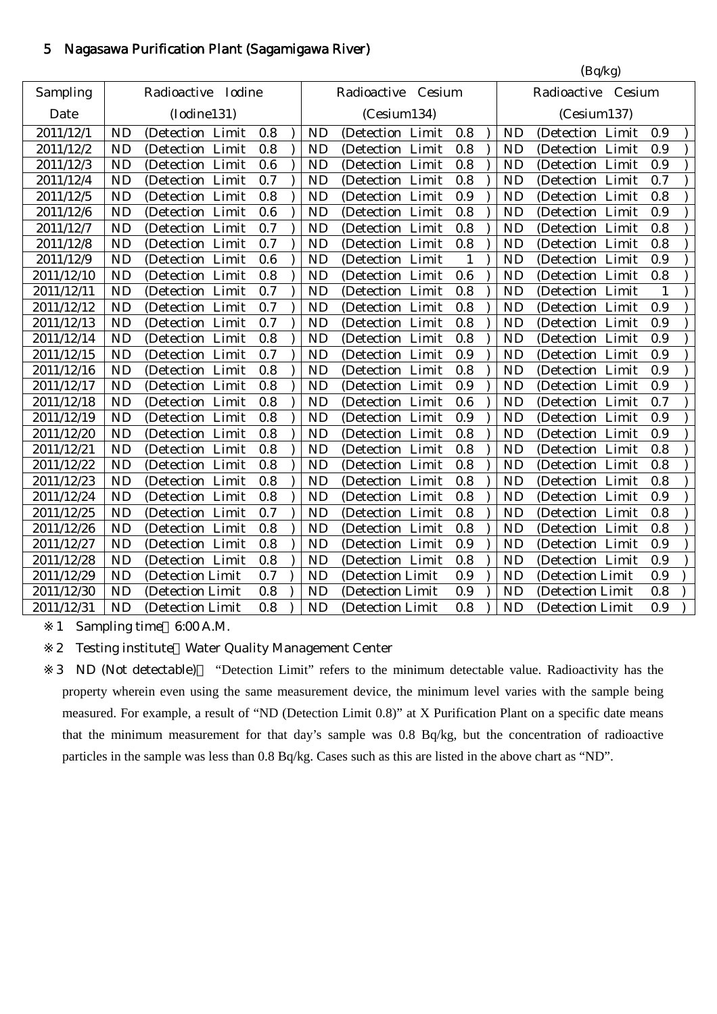# 5 Nagasawa Purification Plant (Sagamigawa River)

|            | (Bq/kg)   |                       |     |  |           |                      |                    |           |                      |     |
|------------|-----------|-----------------------|-----|--|-----------|----------------------|--------------------|-----------|----------------------|-----|
| Sampling   |           | Iodine<br>Radioactive |     |  |           | Radioactive Cesium   | Radioactive Cesium |           |                      |     |
| Date       |           | (Iodine131)           |     |  |           | (Cesium134)          |                    |           | (Cesium137)          |     |
| 2011/12/1  | <b>ND</b> | (Detection Limit      | 0.8 |  | <b>ND</b> | (Detection Limit     | 0.8                | <b>ND</b> | (Detection Limit     | 0.9 |
| 2011/12/2  | <b>ND</b> | Limit<br>(Detection   | 0.8 |  | <b>ND</b> | Limit<br>(Detection  | 0.8                | <b>ND</b> | Limit<br>(Detection  | 0.9 |
| 2011/12/3  | <b>ND</b> | (Detection Limit      | 0.6 |  | <b>ND</b> | (Detection Limit     | 0.8                | <b>ND</b> | (Detection Limit     | 0.9 |
| 2011/12/4  | <b>ND</b> | (Detection Limit      | 0.7 |  | <b>ND</b> | (Detection Limit     | 0.8                | <b>ND</b> | (Detection Limit     | 0.7 |
| 2011/12/5  | <b>ND</b> | (Detection Limit      | 0.8 |  | <b>ND</b> | (Detection<br>Limit  | 0.9                | <b>ND</b> | (Detection Limit     | 0.8 |
| 2011/12/6  | <b>ND</b> | Limit<br>(Detection   | 0.6 |  | <b>ND</b> | Limit<br>(Detection  | 0.8                | <b>ND</b> | Limit<br>(Detection) | 0.9 |
| 2011/12/7  | <b>ND</b> | Limit<br>(Detection)  | 0.7 |  | <b>ND</b> | Limit<br>(Detection  | 0.8                | <b>ND</b> | Limit<br>(Detection  | 0.8 |
| 2011/12/8  | <b>ND</b> | (Detection<br>Limit   | 0.7 |  | <b>ND</b> | (Detection<br>Limit  | 0.8                | <b>ND</b> | (Detection Limit     | 0.8 |
| 2011/12/9  | <b>ND</b> | (Detection<br>Limit   | 0.6 |  | <b>ND</b> | (Detection<br>Limit  | $\mathbf{1}$       | <b>ND</b> | (Detection Limit     | 0.9 |
| 2011/12/10 | <b>ND</b> | (Detection Limit      | 0.8 |  | <b>ND</b> | Limit<br>(Detection  | 0.6                | <b>ND</b> | (Detection Limit     | 0.8 |
| 2011/12/11 | <b>ND</b> | (Detection Limit      | 0.7 |  | <b>ND</b> | (Detection Limit     | 0.8                | <b>ND</b> | (Detection Limit     | 1   |
| 2011/12/12 | <b>ND</b> | (Detection Limit      | 0.7 |  | <b>ND</b> | (Detection Limit     | 0.8                | <b>ND</b> | (Detection Limit     | 0.9 |
| 2011/12/13 | <b>ND</b> | (Detection Limit      | 0.7 |  | <b>ND</b> | (Detection Limit     | 0.8                | <b>ND</b> | (Detection Limit     | 0.9 |
| 2011/12/14 | <b>ND</b> | (Detection Limit      | 0.8 |  | <b>ND</b> | Limit<br>(Detection  | 0.8                | <b>ND</b> | Limit<br>(Detection) | 0.9 |
| 2011/12/15 | <b>ND</b> | (Detection Limit      | 0.7 |  | <b>ND</b> | Limit<br>(Detection) | 0.9                | <b>ND</b> | Limit<br>(Detection) | 0.9 |
| 2011/12/16 | <b>ND</b> | Limit<br>(Detection)  | 0.8 |  | <b>ND</b> | Limit<br>(Detection) | 0.8                | <b>ND</b> | Limit<br>(Detection) | 0.9 |
| 2011/12/17 | <b>ND</b> | (Detection)<br>Limit  | 0.8 |  | <b>ND</b> | (Detection<br>Limit  | 0.9                | <b>ND</b> | Limit<br>(Detection) | 0.9 |
| 2011/12/18 | <b>ND</b> | (Detection<br>Limit   | 0.8 |  | <b>ND</b> | (Detection<br>Limit  | 0.6                | <b>ND</b> | Limit<br>(Detection) | 0.7 |
| 2011/12/19 | <b>ND</b> | (Detection Limit      | 0.8 |  | <b>ND</b> | (Detection<br>Limit  | 0.9                | <b>ND</b> | (Detection Limit     | 0.9 |
| 2011/12/20 | <b>ND</b> | (Detection Limit      | 0.8 |  | <b>ND</b> | (Detection Limit     | 0.8                | <b>ND</b> | (Detection Limit     | 0.9 |
| 2011/12/21 | <b>ND</b> | (Detection Limit      | 0.8 |  | <b>ND</b> | (Detection Limit     | 0.8                | <b>ND</b> | (Detection Limit     | 0.8 |
| 2011/12/22 | <b>ND</b> | (Detection Limit      | 0.8 |  | <b>ND</b> | Limit<br>(Detection  | 0.8                | <b>ND</b> | Limit<br>(Detection  | 0.8 |
| 2011/12/23 | <b>ND</b> | (Detection Limit      | 0.8 |  | <b>ND</b> | Limit<br>(Detection  | 0.8                | <b>ND</b> | Limit<br>(Detection  | 0.8 |
| 2011/12/24 | <b>ND</b> | (Detection Limit      | 0.8 |  | <b>ND</b> | (Detection Limit     | 0.8                | <b>ND</b> | (Detection Limit     | 0.9 |
| 2011/12/25 | <b>ND</b> | (Detection<br>Limit   | 0.7 |  | <b>ND</b> | (Detection<br>Limit  | 0.8                | <b>ND</b> | (Detection Limit     | 0.8 |
| 2011/12/26 | <b>ND</b> | (Detection Limit      | 0.8 |  | <b>ND</b> | (Detection<br>Limit  | 0.8                | <b>ND</b> | (Detection Limit     | 0.8 |
| 2011/12/27 | <b>ND</b> | (Detection Limit      | 0.8 |  | <b>ND</b> | Limit<br>(Detection  | 0.9                | <b>ND</b> | (Detection Limit     | 0.9 |
| 2011/12/28 | <b>ND</b> | (Detection Limit      | 0.8 |  | <b>ND</b> | (Detection Limit     | 0.8                | <b>ND</b> | (Detection Limit     | 0.9 |
| 2011/12/29 | <b>ND</b> | (Detection Limit      | 0.7 |  | <b>ND</b> | (Detection Limit     | 0.9                | <b>ND</b> | (Detection Limit     | 0.9 |
| 2011/12/30 | <b>ND</b> | (Detection Limit      | 0.8 |  | <b>ND</b> | (Detection Limit     | 0.9                | <b>ND</b> | (Detection Limit     | 0.8 |
| 2011/12/31 | <b>ND</b> | (Detection Limit      | 0.8 |  | <b>ND</b> | (Detection Limit     | 0.8                | <b>ND</b> | (Detection Limit     | 0.9 |

1 Sampling time 6:00 A.M.

2 Testing institute Water Quality Management Center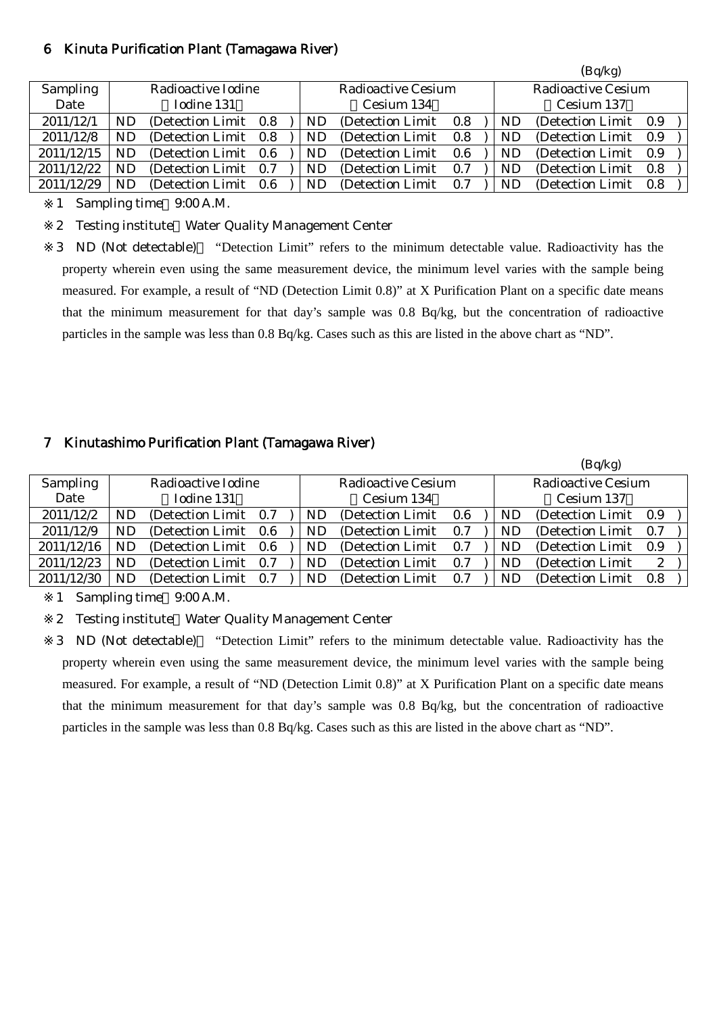#### 6 Kinuta Purification Plant (Tamagawa River)

|                 |                    |                       |     |  |            |                    |     |  |                    | (Bq/kg)           |     |  |
|-----------------|--------------------|-----------------------|-----|--|------------|--------------------|-----|--|--------------------|-------------------|-----|--|
| <b>Sampling</b> | Radioactive Iodine |                       |     |  |            | Radioactive Cesium |     |  | Radioactive Cesium |                   |     |  |
| Date            |                    | Iodine 131            |     |  | Cesium 134 |                    |     |  |                    | Cesium 137        |     |  |
| 2011/12/1       | ND                 | (Detection Limit 0.8) |     |  | ND         | (Detection Limit)  | 0.8 |  | ND                 | (Detection Limit) | 0.9 |  |
| 2011/12/8       | ND                 | (Detection Limit 0.8) |     |  | ND.        | (Detection Limit)  | 0.8 |  | ND                 | (Detection Limit) | 0.9 |  |
| 2011/12/15      | ND                 | (Detection Limit 0.6) |     |  | ND.        | (Detection Limit)  | 0.6 |  | ND                 | (Detection Limit) | 0.9 |  |
| 2011/12/22      | ND                 | (Detection Limit 0.7) |     |  | ND         | (Detection Limit)  | 0.7 |  | ND                 | (Detection Limit) | 0.8 |  |
| 2011/12/29      | ND                 | (Detection Limit)     | 0.6 |  | ND         | (Detection Limit)  | 0.7 |  | ND                 | (Detection Limit) | 0.8 |  |

1 Sampling time 9:00 A.M.

2 Testing institute Water Quality Management Center

3 ND (Not detectable) "Detection Limit" refers to the minimum detectable value. Radioactivity has the property wherein even using the same measurement device, the minimum level varies with the sample being measured. For example, a result of "ND (Detection Limit 0.8)" at X Purification Plant on a specific date means that the minimum measurement for that day's sample was 0.8 Bq/kg, but the concentration of radioactive particles in the sample was less than 0.8 Bq/kg. Cases such as this are listed in the above chart as "ND".

## 7 Kinutashimo Purification Plant (Tamagawa River)

|                 |                    |                       |     |  |    |                    |            |    | (Bq/kg)            |              |  |
|-----------------|--------------------|-----------------------|-----|--|----|--------------------|------------|----|--------------------|--------------|--|
| <b>Sampling</b> | Radioactive Iodine |                       |     |  |    | Radioactive Cesium |            |    | Radioactive Cesium |              |  |
| Date            |                    | Iodine 131            |     |  |    | Cesium 134         | Cesium 137 |    |                    |              |  |
| 2011/12/2       | ND                 | (Detection Limit 0.7) |     |  | ND | (Detection Limit)  | 0.6        | ND | (Detection Limit)  | 0.9          |  |
| 2011/12/9       | ND                 | (Detection Limit 0.6) |     |  | ND | (Detection Limit)  | 0.7        | ND | (Detection Limit)  | 0.7          |  |
| 2011/12/16      | ND.                | (Detection Limit 0.6) |     |  | ND | (Detection Limit)  | 0.7        | ND | (Detection Limit)  | 0.9          |  |
| 2011/12/23      | ND                 | (Detection Limit)     | 0.7 |  | ND | (Detection Limit)  | 0.7        | ND | (Detection Limit)  | $\mathbf{2}$ |  |
| 2011/12/30      | ND                 | (Detection Limit)     | 0.7 |  | ND | (Detection Limit)  | 0.7        | ND | (Detection Limit)  | 0.8          |  |

1 Sampling time 9:00 A.M.

2 Testing institute Water Quality Management Center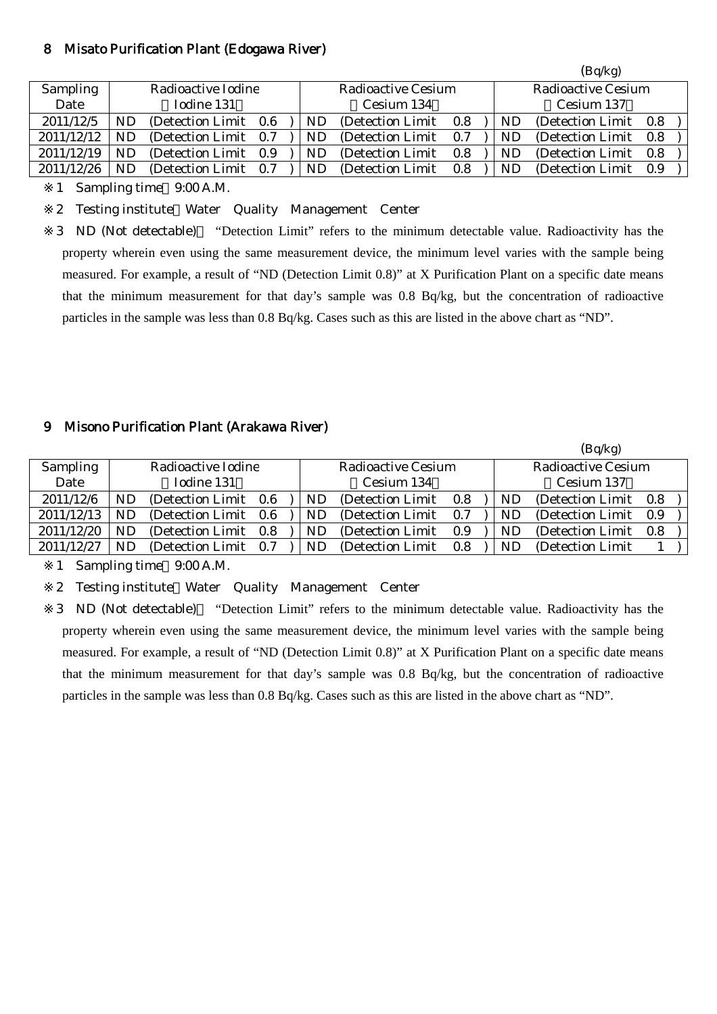#### 8 Misato Purification Plant (Edogawa River)

|                 |                    |                       |     |  |    |                    |     |    | (Bq/kg)            |     |
|-----------------|--------------------|-----------------------|-----|--|----|--------------------|-----|----|--------------------|-----|
| <b>Sampling</b> | Radioactive Iodine |                       |     |  |    | Radioactive Cesium |     |    | Radioactive Cesium |     |
| Date            |                    | Iodine 131            |     |  |    | Cesium 134         |     |    | Cesium 137         |     |
| 2011/12/5       | ND                 | (Detection Limit 0.6) |     |  | ND | (Detection Limit)  | 0.8 | ND | (Detection Limit)  | 0.8 |
| 2011/12/12      |                    | (Detection Limit)     | 0.7 |  | ND | (Detection Limit)  | 0.7 | ND | (Detection Limit)  | 0.8 |
| 2011/12/19      | <b>ND</b>          | (Detection Limit)     | 0.9 |  | ND | (Detection Limit)  | 0.8 | ND | (Detection Limit)  | 0.8 |
| 2011/12/26      | <b>ND</b>          | (Detection Limit)     | 0.7 |  | ND | (Detection Limit)  | 0.8 | ND | (Detection Limit)  | 0.9 |

1 Sampling time 9:00 A.M.

2 Testing institute Water Quality Management Center

3 ND (Not detectable) "Detection Limit" refers to the minimum detectable value. Radioactivity has the property wherein even using the same measurement device, the minimum level varies with the sample being measured. For example, a result of "ND (Detection Limit 0.8)" at X Purification Plant on a specific date means that the minimum measurement for that day's sample was 0.8 Bq/kg, but the concentration of radioactive particles in the sample was less than 0.8 Bq/kg. Cases such as this are listed in the above chart as "ND".

#### 9 Misono Purification Plant (Arakawa River)

|                                |    |                       |  |  |           |                           |     |           | (Bq/kg)                   |     |  |
|--------------------------------|----|-----------------------|--|--|-----------|---------------------------|-----|-----------|---------------------------|-----|--|
| Sampling<br>Radioactive Iodine |    |                       |  |  |           | <b>Radioactive Cesium</b> |     |           | <b>Radioactive Cesium</b> |     |  |
| Date                           |    | Iodine 131            |  |  |           | Cesium 134                |     |           | Cesium 137                |     |  |
| 2011/12/6                      | ND | (Detection Limit 0.6) |  |  | ND        | (Detection Limit)         | 0.8 | ND        | (Detection Limit 0.8)     |     |  |
| 2011/12/13                     | ND | (Detection Limit 0.6) |  |  | ND        | (Detection Limit)         | 0.7 | ND        | (Detection Limit)         | 0.9 |  |
| 2011/12/20                     | ND | (Detection Limit 0.8) |  |  | ND.       | (Detection Limit)         | 0.9 | ND.       | (Detection Limit)         | 0.8 |  |
| 2011/12/27                     | ND | (Detection Limit 0.7) |  |  | <b>ND</b> | (Detection Limit)         | 0.8 | <b>ND</b> | (Detection Limit)         |     |  |

1 Sampling time 9:00 A.M.

2 Testing institute Water Quality Management Center